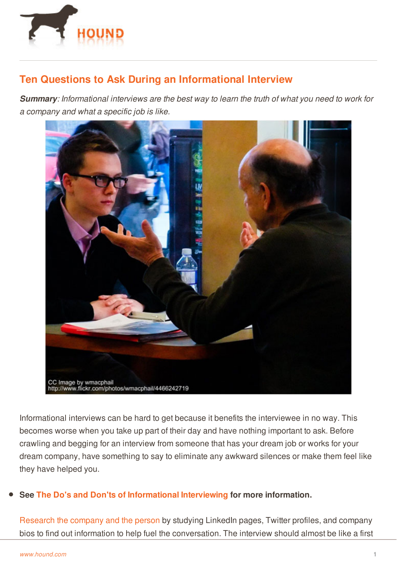

## **Ten Questions to Ask During an Informational Interview**

**Summary:** Informational interviews are the best way to learn the truth of what you need to work for *a company and what a specific job is like.*



Informational interviews can be hard to get because it benefits the interviewee in no way. This becomes worse when you take up part of their day and have nothing important to ask. Before crawling and begging for an interview from someone that has your dream job or works for your dream company, have something to say to eliminate any awkward silences or make them feel like they have helped you.

## **See [The](http://www.hound.com/) Do's and Don'ts of [Informational](http://www.hound.com/article/1090090/The-Do-s-and-Don-ts-of-Informational-Interviewing/) Interviewing for more information.**

[Research](http://www.hound.com/article/900046111/Eight-Mistakes-That-Could-Keep-You-from-Getting-the-Job/) the company and the person by studying LinkedIn pages, Twitter profiles, and company bios to find out information to help fuel the conversation. The interview should almost be like a first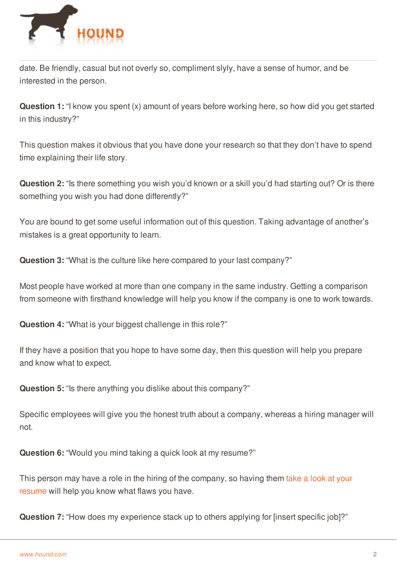

date. Be friendly, casual but not overly so, compliment slyly, have a sense of humor, and be interested in the person.

**Question 1:** "I know you spent (x) amount of years before working here, so how did you get started in this industry?"

This question makes it obvious that you have done your research so that they don't have to spend time explaining their life story.

**Question 2:** "Is there something you wish you'd known or a skill you'd had starting out? Or is there something you wish you had done differently?"

You are bound to get some useful information out of this question. Taking advantage of another's mistakes is a great opportunity to learn.

**Question 3:** "What is the culture like here compared to your last company?"

Most people have worked at more than one company in the same industry. Getting a comparison from someone with firsthand knowledge will help you know if the company is one to work towards.

**Question 4:** "What is your biggest challenge in this role?"

If they have a position that you hope to have some day, then this question will help you prepare and know what to expect.

**Question 5:** "Is there anything you dislike about this company?"

Specific employees will give you the honest truth about a company, whereas a hiring manager will not.

**Question 6:** "Would you mind taking a quick look at my resume?"

This person may have a role in the hiring of the [company,](http://www.hound.com/article/900046134/Get-a-Thumbs-Up-on-Your-Resume/) so having them take a look at your [resume](http://www.hound.com/) will help you know what flaws you have.

**Question 7:** "How does my experience stack up to others applying for [insert specific job]?"